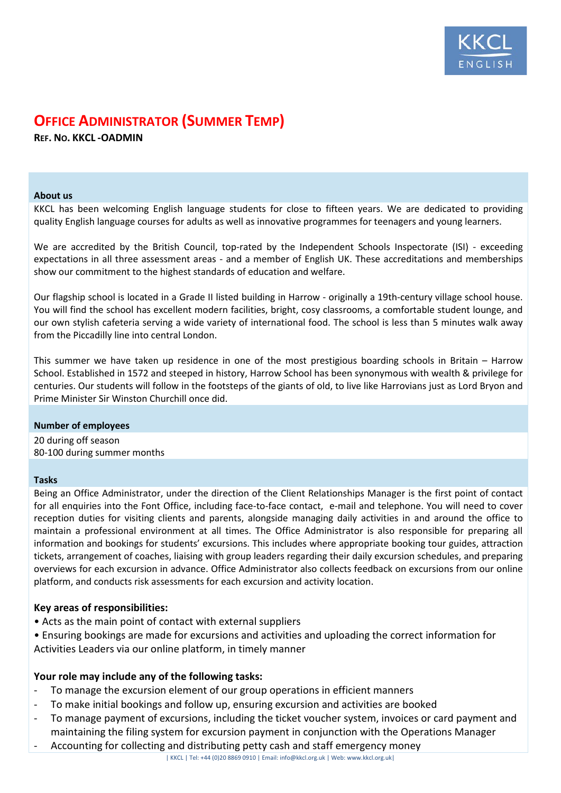

# **OFFICE ADMINISTRATOR (SUMMER TEMP)**

**REF. NO. KKCL -OADMIN**

#### **About us**

KKCL has been welcoming English language students for close to fifteen years. We are dedicated to providing quality English language courses for adults as well as innovative programmes for teenagers and young learners.

We are accredited by the British Council, top-rated by the Independent Schools Inspectorate (ISI) - exceeding expectations in all three assessment areas - and a member of English UK. These accreditations and memberships show our commitment to the highest standards of education and welfare.

Our flagship school is located in a Grade II listed building in Harrow - originally a 19th-century village school house. You will find the school has excellent modern facilities, bright, cosy classrooms, a comfortable student lounge, and our own stylish cafeteria serving a wide variety of international food. The school is less than 5 minutes walk away from the Piccadilly line into central London.

This summer we have taken up residence in one of the most prestigious boarding schools in Britain – Harrow School. Established in 1572 and steeped in history, Harrow School has been synonymous with wealth & privilege for centuries. Our students will follow in the footsteps of the giants of old, to live like Harrovians just as Lord Bryon and Prime Minister Sir Winston Churchill once did.

## **Number of employees**

20 during off season 80-100 during summer months

## **Tasks**

Being an Office Administrator, under the direction of the Client Relationships Manager is the first point of contact for all enquiries into the Font Office, including face-to-face contact, e-mail and telephone. You will need to cover reception duties for visiting clients and parents, alongside managing daily activities in and around the office to maintain a professional environment at all times. The Office Administrator is also responsible for preparing all information and bookings for students' excursions. This includes where appropriate booking tour guides, attraction tickets, arrangement of coaches, liaising with group leaders regarding their daily excursion schedules, and preparing overviews for each excursion in advance. Office Administrator also collects feedback on excursions from our online platform, and conducts risk assessments for each excursion and activity location.

# **Key areas of responsibilities:**

- Acts as the main point of contact with external suppliers
- Ensuring bookings are made for excursions and activities and uploading the correct information for Activities Leaders via our online platform, in timely manner

# **Your role may include any of the following tasks:**

- To manage the excursion element of our group operations in efficient manners
- To make initial bookings and follow up, ensuring excursion and activities are booked
- To manage payment of excursions, including the ticket voucher system, invoices or card payment and maintaining the filing system for excursion payment in conjunction with the Operations Manager
- Accounting for collecting and distributing petty cash and staff emergency money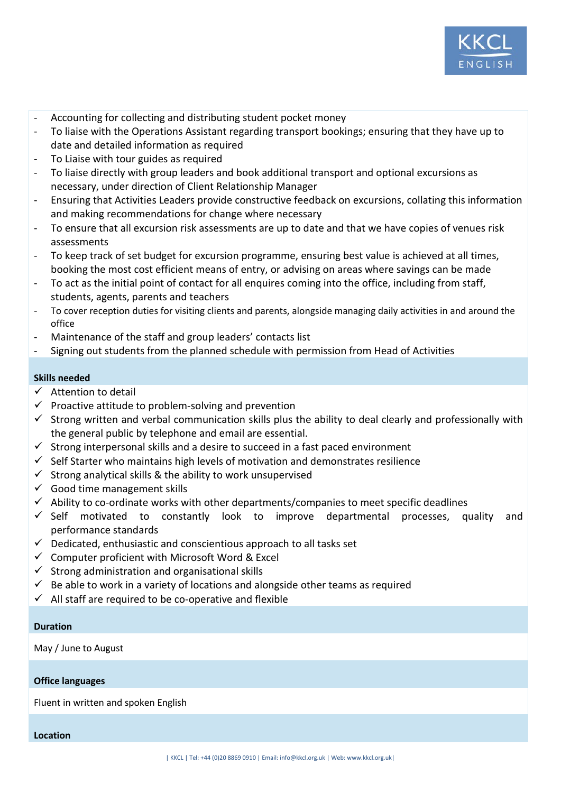

- Accounting for collecting and distributing student pocket money
- To liaise with the Operations Assistant regarding transport bookings; ensuring that they have up to date and detailed information as required
- To Liaise with tour guides as required
- To liaise directly with group leaders and book additional transport and optional excursions as necessary, under direction of Client Relationship Manager
- Ensuring that Activities Leaders provide constructive feedback on excursions, collating this information and making recommendations for change where necessary
- To ensure that all excursion risk assessments are up to date and that we have copies of venues risk assessments
- To keep track of set budget for excursion programme, ensuring best value is achieved at all times, booking the most cost efficient means of entry, or advising on areas where savings can be made
- To act as the initial point of contact for all enquires coming into the office, including from staff, students, agents, parents and teachers
- To cover reception duties for visiting clients and parents, alongside managing daily activities in and around the office
- Maintenance of the staff and group leaders' contacts list
- Signing out students from the planned schedule with permission from Head of Activities

# **Skills needed**

- $\checkmark$  Attention to detail
- $\checkmark$  Proactive attitude to problem-solving and prevention
- $\checkmark$  Strong written and verbal communication skills plus the ability to deal clearly and professionally with the general public by telephone and email are essential.
- $\checkmark$  Strong interpersonal skills and a desire to succeed in a fast paced environment
- $\checkmark$  Self Starter who maintains high levels of motivation and demonstrates resilience
- $\checkmark$  Strong analytical skills & the ability to work unsupervised
- $\checkmark$  Good time management skills
- $\checkmark$  Ability to co-ordinate works with other departments/companies to meet specific deadlines
- $\checkmark$  Self motivated to constantly look to improve departmental processes, quality and performance standards
- $\checkmark$  Dedicated, enthusiastic and conscientious approach to all tasks set
- $\checkmark$  Computer proficient with Microsoft Word & Excel
- $\checkmark$  Strong administration and organisational skills
- $\checkmark$  Be able to work in a variety of locations and alongside other teams as required
- $\checkmark$  All staff are required to be co-operative and flexible

## **Duration**

May / June to August

## **Office languages**

Fluent in written and spoken English

**Location**